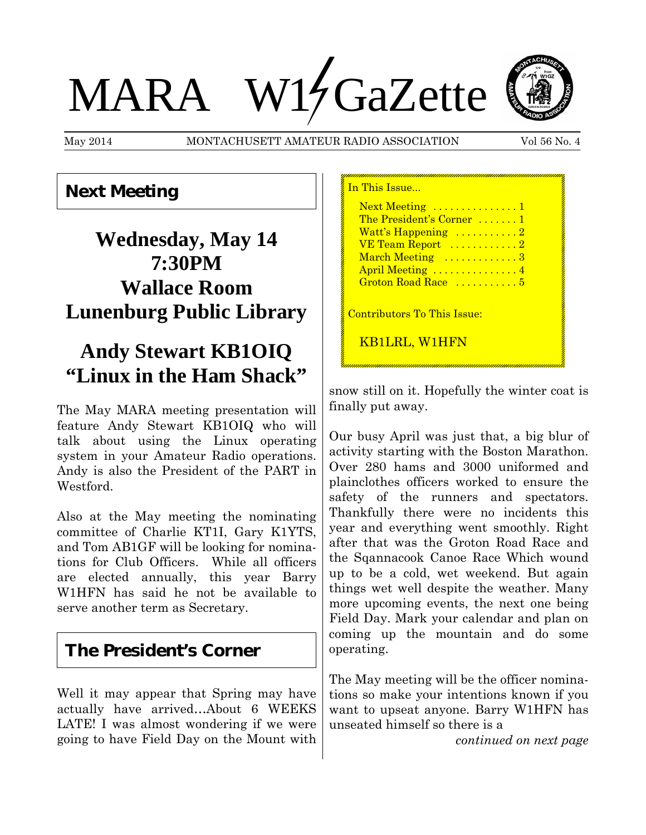# MARA W15 GaZette

May 2014 MONTACHUSETT AMATEUR RADIO ASSOCIATION Vol 56 No. 4

In This Issue...



**Next Meeting**

# **Wednesday, May 14 7:30PM Wallace Room Lunenburg Public Library**

# **Andy Stewart KB1OIQ "Linux in the Ham Shack"**

The May MARA meeting presentation will feature Andy Stewart KB1OIQ who will talk about using the Linux operating system in your Amateur Radio operations. Andy is also the President of the PART in Westford.

Also at the May meeting the nominating committee of Charlie KT1I, Gary K1YTS, and Tom AB1GF will be looking for nominations for Club Officers. While all officers are elected annually, this year Barry W1HFN has said he not be available to serve another term as Secretary.

## **The President's Corner**

Well it may appear that Spring may have actually have arrived…About 6 WEEKS LATE! I was almost wondering if we were going to have Field Day on the Mount with

## Next Meeting ................1 The President's Corner .......1 Watt's Happening ..........2 VE Team Report ............2 March Meeting .............3 April Meeting ..............4 Groton Road Race ...........5 Contributors To This Issue: KB1LRL, W1HFN

snow still on it. Hopefully the winter coat is finally put away.

Our busy April was just that, a big blur of activity starting with the Boston Marathon. Over 280 hams and 3000 uniformed and plainclothes officers worked to ensure the safety of the runners and spectators. Thankfully there were no incidents this year and everything went smoothly. Right after that was the Groton Road Race and the Sqannacook Canoe Race Which wound up to be a cold, wet weekend. But again things wet well despite the weather. Many more upcoming events, the next one being Field Day. Mark your calendar and plan on coming up the mountain and do some operating.

The May meeting will be the officer nominations so make your intentions known if you want to upseat anyone. Barry W1HFN has unseated himself so there is a

*continued on next page*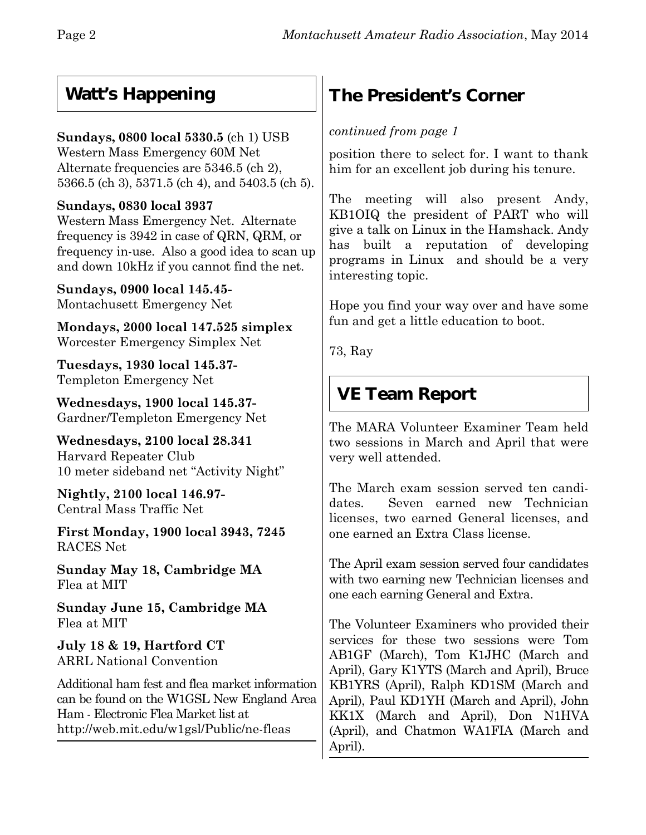## **Watt's Happening**

#### **Sundays, 0800 local 5330.5** (ch 1) USB

Western Mass Emergency 60M Net Alternate frequencies are 5346.5 (ch 2), 5366.5 (ch 3), 5371.5 (ch 4), and 5403.5 (ch 5).

#### **Sundays, 0830 local 3937**

Western Mass Emergency Net. Alternate frequency is 3942 in case of QRN, QRM, or frequency in-use. Also a good idea to scan up and down 10kHz if you cannot find the net.

**Sundays, 0900 local 145.45-** Montachusett Emergency Net

**Mondays, 2000 local 147.525 simplex** Worcester Emergency Simplex Net

**Tuesdays, 1930 local 145.37-** Templeton Emergency Net

**Wednesdays, 1900 local 145.37-** Gardner/Templeton Emergency Net

**Wednesdays, 2100 local 28.341** Harvard Repeater Club 10 meter sideband net "Activity Night"

**Nightly, 2100 local 146.97-** Central Mass Traffic Net

**First Monday, 1900 local 3943, 7245** RACES Net

**Sunday May 18, Cambridge MA** Flea at MIT

**Sunday June 15, Cambridge MA** Flea at MIT

**July 18 & 19, Hartford CT** ARRL National Convention

Additional ham fest and flea market information can be found on the W1GSL New England Area Ham - Electronic Flea Market list at http://web.mit.edu/w1gsl/Public/ne-fleas

## **The President's Corner**

#### *continued from page 1*

position there to select for. I want to thank him for an excellent job during his tenure.

The meeting will also present Andy, KB1OIQ the president of PART who will give a talk on Linux in the Hamshack. Andy has built a reputation of developing programs in Linux and should be a very interesting topic.

Hope you find your way over and have some fun and get a little education to boot.

73, Ray

## **VE Team Report**

The MARA Volunteer Examiner Team held two sessions in March and April that were very well attended.

The March exam session served ten candidates. Seven earned new Technician licenses, two earned General licenses, and one earned an Extra Class license.

The April exam session served four candidates with two earning new Technician licenses and one each earning General and Extra.

The Volunteer Examiners who provided their services for these two sessions were Tom AB1GF (March), Tom K1JHC (March and April), Gary K1YTS (March and April), Bruce KB1YRS (April), Ralph KD1SM (March and April), Paul KD1YH (March and April), John KK1X (March and April), Don N1HVA (April), and Chatmon WA1FIA (March and April).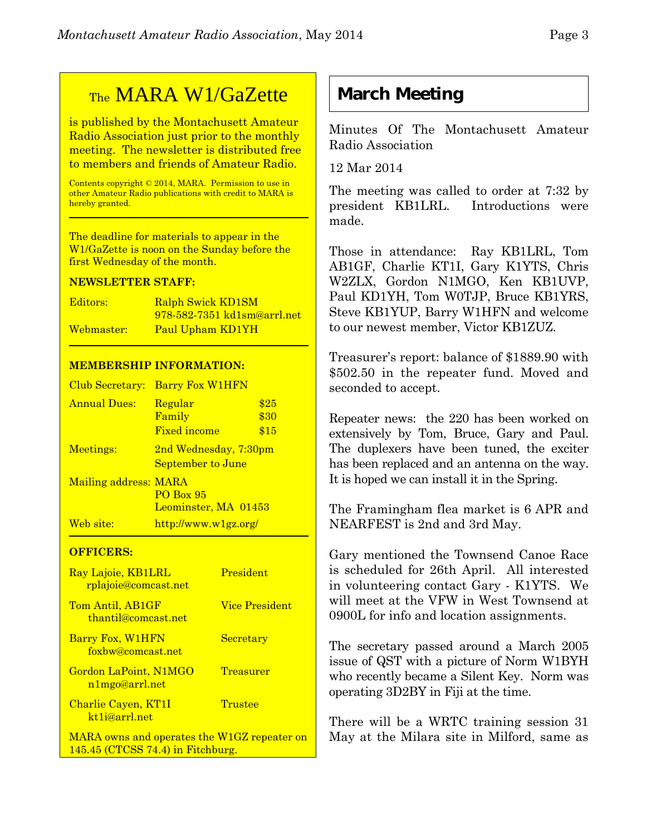## TheMARA W1/GaZette

is published by the Montachusett Amateur Radio Association just prior to the monthly meeting. The newsletter is distributed free to members and friends of Amateur Radio.

Contents copyright © 2014, MARA. Permission to use in other Amateur Radio publications with credit to MARA is hereby granted.

The deadline for materials to appear in the W1/GaZette is noon on the Sunday before the first Wednesday of the month.

#### **NEWSLETTER STAFF:**

| Editors:   | Ralph Swick KD1SM           |
|------------|-----------------------------|
|            | 978-582-7351 kd1sm@arrl.net |
| Webmaster: | Paul Upham KD1YH            |

#### **MEMBERSHIP INFORMATION:**

| Club Secretary:       | <b>Barry Fox W1HFN</b>                              |                      |
|-----------------------|-----------------------------------------------------|----------------------|
| <b>Annual Dues:</b>   | Regular<br>Family<br><b>Fixed income</b>            | \$25<br>\$30<br>\$15 |
| Meetings:             | 2nd Wednesday, 7:30pm<br>September to June          |                      |
| Mailing address: MARA | <b>PO Box 95</b><br>Leominster, MA 01453            |                      |
| Web site:             | $\frac{http://www.w1gz.org/}{http://www.w1gz.org/}$ |                      |

#### **OFFICERS:**

| Ray Lajoie, KB1LRL<br>rplajoie@comcast.net  | President             |
|---------------------------------------------|-----------------------|
| Tom Antil, AB1GF<br>thantil@comcast.net     | <b>Vice President</b> |
| Barry Fox, W1HFN<br>foxbw@comcast.net       | <b>Secretary</b>      |
| Gordon LaPoint, N1MGO<br>n1mgo@arrl.net     | <b>Treasurer</b>      |
| Charlie Cayen, KT1I<br>kt1j@arrl.net        | Trustee               |
| MARA owns and operates the W1GZ repeater on |                       |

145.45 (CTCSS 74.4) in Fitchburg.

## **March Meeting**

Minutes Of The Montachusett Amateur Radio Association

12 Mar 2014

The meeting was called to order at 7:32 by president KB1LRL. Introductions were made.

Those in attendance: Ray KB1LRL, Tom AB1GF, Charlie KT1I, Gary K1YTS, Chris W2ZLX, Gordon N1MGO, Ken KB1UVP, Paul KD1YH, Tom W0TJP, Bruce KB1YRS, Steve KB1YUP, Barry W1HFN and welcome to our newest member, Victor KB1ZUZ.

Treasurer's report: balance of \$1889.90 with \$502.50 in the repeater fund. Moved and seconded to accept.

Repeater news: the 220 has been worked on extensively by Tom, Bruce, Gary and Paul. The duplexers have been tuned, the exciter has been replaced and an antenna on the way. It is hoped we can install it in the Spring.

The Framingham flea market is 6 APR and NEARFEST is 2nd and 3rd May.

Gary mentioned the Townsend Canoe Race is scheduled for 26th April. All interested in volunteering contact Gary - K1YTS. We will meet at the VFW in West Townsend at 0900L for info and location assignments.

The secretary passed around a March 2005 issue of QST with a picture of Norm W1BYH who recently became a Silent Key. Norm was operating 3D2BY in Fiji at the time.

There will be a WRTC training session 31 May at the Milara site in Milford, same as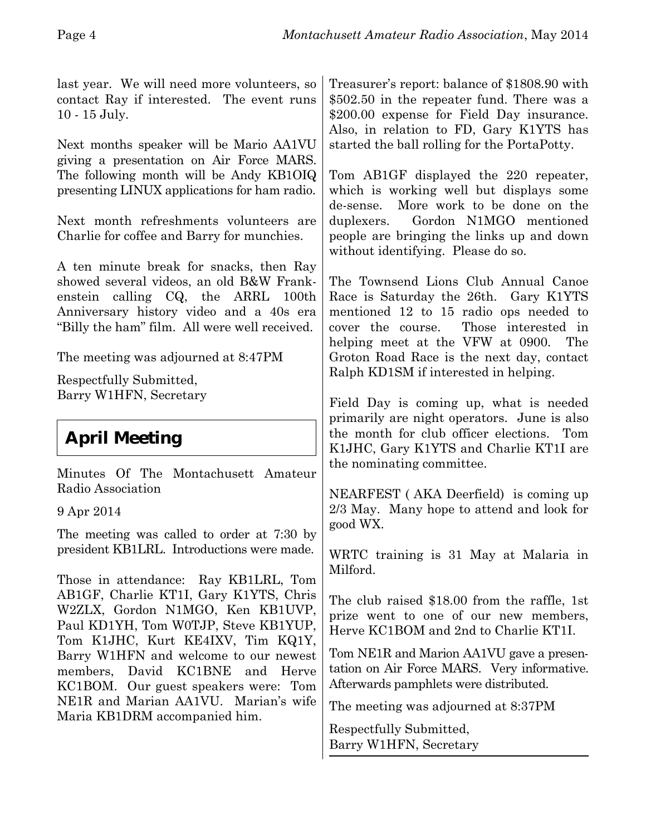last year. We will need more volunteers, so contact Ray if interested. The event runs 10 - 15 July. Next months speaker will be Mario AA1VU giving a presentation on Air Force MARS. The following month will be Andy KB1OIQ presenting LINUX applications for ham radio. Next month refreshments volunteers are Charlie for coffee and Barry for munchies. A ten minute break for snacks, then Ray showed several videos, an old B&W Frankenstein calling CQ, the ARRL 100th Anniversary history video and a 40s era "Billy the ham" film. All were well received. The meeting was adjourned at 8:47PM Respectfully Submitted, Barry W1HFN, Secretary **April Meeting** Minutes Of The Montachusett Amateur Radio Association 9 Apr 2014 The meeting was called to order at 7:30 by president KB1LRL. Introductions were made. Those in attendance: Ray KB1LRL, Tom AB1GF, Charlie KT1I, Gary K1YTS, Chris W2ZLX, Gordon N1MGO, Ken KB1UVP, Paul KD1YH, Tom W0TJP, Steve KB1YUP, Tom K1JHC, Kurt KE4IXV, Tim KQ1Y, Barry W1HFN and welcome to our newest members, David KC1BNE and Herve KC1BOM. Our guest speakers were: Tom NE1R and Marian AA1VU. Marian's wife Maria KB1DRM accompanied him. Treasurer's report: balance of \$1808.90 with \$502.50 in the repeater fund. There was a \$200.00 expense for Field Day insurance. Also, in relation to FD, Gary K1YTS has started the ball rolling for the PortaPotty. Tom AB1GF displayed the 220 repeater, which is working well but displays some de-sense. More work to be done on the duplexers. Gordon N1MGO mentioned people are bringing the links up and down without identifying. Please do so. The Townsend Lions Club Annual Canoe Race is Saturday the 26th. Gary K1YTS mentioned 12 to 15 radio ops needed to cover the course. Those interested in helping meet at the VFW at 0900. The Groton Road Race is the next day, contact Ralph KD1SM if interested in helping. Field Day is coming up, what is needed primarily are night operators. June is also the month for club officer elections. Tom K1JHC, Gary K1YTS and Charlie KT1I are the nominating committee. NEARFEST ( AKA Deerfield) is coming up 2/3 May. Many hope to attend and look for good WX. WRTC training is 31 May at Malaria in Milford. The club raised \$18.00 from the raffle, 1st prize went to one of our new members, Herve KC1BOM and 2nd to Charlie KT1I. Tom NE1R and Marion AA1VU gave a presentation on Air Force MARS. Very informative. Afterwards pamphlets were distributed. The meeting was adjourned at 8:37PM Respectfully Submitted, Barry W1HFN, Secretary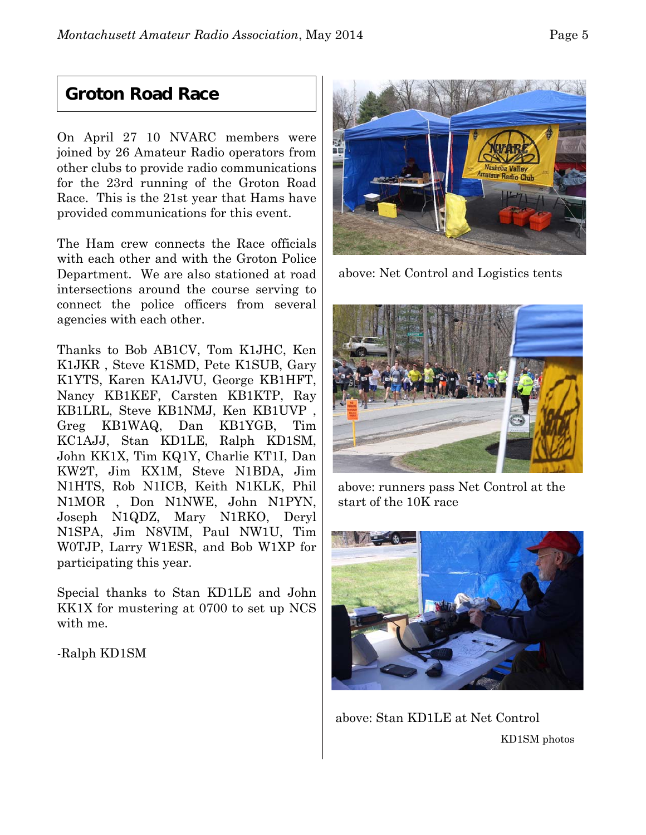### **Groton Road Race**

On April 27 10 NVARC members were joined by 26 Amateur Radio operators from other clubs to provide radio communications for the 23rd running of the Groton Road Race. This is the 21st year that Hams have provided communications for this event.

The Ham crew connects the Race officials with each other and with the Groton Police Department. We are also stationed at road intersections around the course serving to connect the police officers from several agencies with each other.

Thanks to Bob AB1CV, Tom K1JHC, Ken K1JKR , Steve K1SMD, Pete K1SUB, Gary K1YTS, Karen KA1JVU, George KB1HFT, Nancy KB1KEF, Carsten KB1KTP, Ray KB1LRL, Steve KB1NMJ, Ken KB1UVP , Greg KB1WAQ, Dan KB1YGB, Tim KC1AJJ, Stan KD1LE, Ralph KD1SM, John KK1X, Tim KQ1Y, Charlie KT1I, Dan KW2T, Jim KX1M, Steve N1BDA, Jim N1HTS, Rob N1ICB, Keith N1KLK, Phil N1MOR , Don N1NWE, John N1PYN, Joseph N1QDZ, Mary N1RKO, Deryl N1SPA, Jim N8VIM, Paul NW1U, Tim W0TJP, Larry W1ESR, and Bob W1XP for participating this year.

Special thanks to Stan KD1LE and John KK1X for mustering at 0700 to set up NCS with me.

-Ralph KD1SM



above: Net Control and Logistics tents



above: runners pass Net Control at the start of the 10K race



above: Stan KD1LE at Net Control KD1SM photos